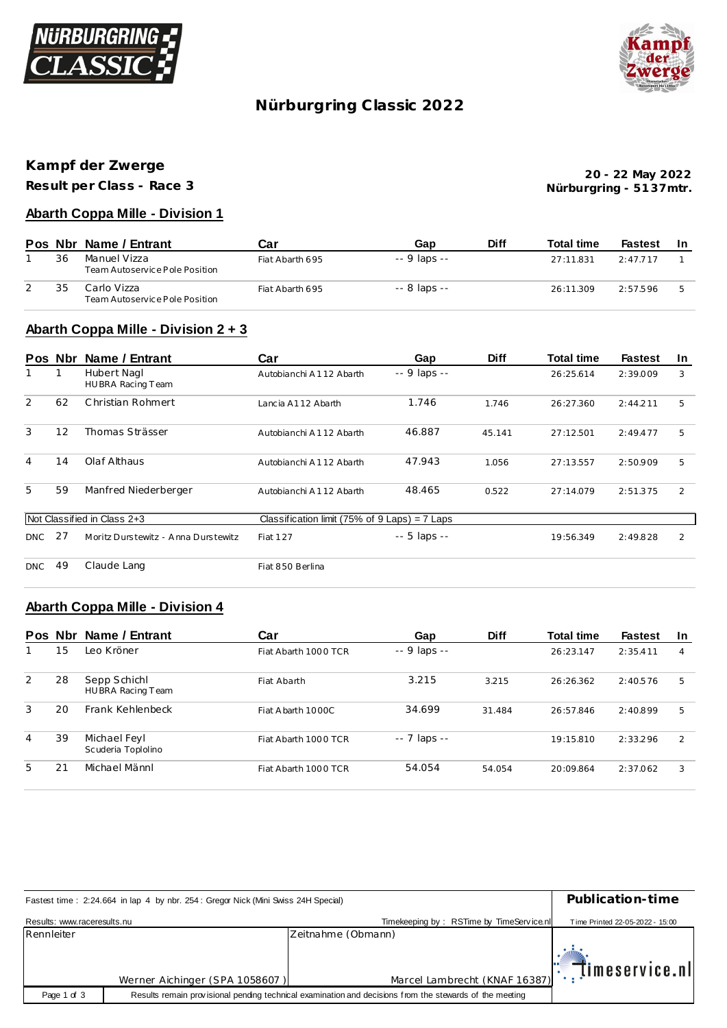



# **Nürburgring C lassic 2022**

## **Kampf der Zwerge**

**Result per Class - Race 3**

**Nürburgring - 51 37mtr. 20 - 22 May 2022**

#### **Abarth Coppa Mille - Division 1**

|    | Pos Nbr Name / Entrant                         | Car             | Gap          | <b>Diff</b> | <b>Total time</b> | <b>Fastest</b> | -In |
|----|------------------------------------------------|-----------------|--------------|-------------|-------------------|----------------|-----|
| 36 | Manuel Vizza<br>Team Autoservice Pole Position | Fiat Abarth 695 | -- 9 laps -- |             | 27:11.831         | 2:47.717       |     |
| 35 | Carlo Vizza<br>Team Autoservice Pole Position  | Fiat Abarth 695 | -- 8 laps -- |             | 26:11.309         | 2:57.596       |     |

### **Abarth Coppa Mille - Division 2 + 3**

|     | Pos Nbr | Name / Entrant                      | Car                                             | Gap           | <b>Diff</b> | <b>Total time</b> | <b>Fastest</b> | <u>In</u> |
|-----|---------|-------------------------------------|-------------------------------------------------|---------------|-------------|-------------------|----------------|-----------|
|     | 1       | Hubert Nagl<br>HUBRA Racing Team    | Autobianchi A112 Abarth                         | -- 9 laps --  |             | 26:25.614         | 2:39.009       | 3         |
| 2   | 62      | Christian Rohmert                   | Lancia A112 Abarth                              | 1.746         | 1.746       | 26:27.360         | 2:44.211       | 5         |
| 3   | 12      | Thomas Strässer                     | Autobianchi A112 Abarth                         | 46.887        | 45.141      | 27:12.501         | 2:49.477       | 5         |
| 4   | 14      | Olaf Althaus                        | Autobianchi A112 Abarth                         | 47.943        | 1.056       | 27:13.557         | 2:50.909       | 5         |
| 5   | 59      | Manfred Niederberger                | Autobianchi A112 Abarth                         | 48.465        | 0.522       | 27:14.079         | 2:51.375       | 2         |
|     |         | Not Classified in Class 2+3         | Classification limit (75% of $9$ Laps) = 7 Laps |               |             |                   |                |           |
| DNC | 27      | Moritz Durstewitz - Anna Durstewitz | Fiat 127                                        | $-5$ laps $-$ |             | 19:56.349         | 2:49.828       | 2         |
| DNC | 49      | Claude Lang                         | Fiat 850 Berlina                                |               |             |                   |                |           |

#### **Abarth Coppa Mille - Division 4**

|   | Pos Nbr | Name / Entrant                     | Car                  | Gap          | <b>Diff</b> | <b>Total time</b> | <b>Fastest</b> | <u>In</u>     |
|---|---------|------------------------------------|----------------------|--------------|-------------|-------------------|----------------|---------------|
|   | 15      | Leo Kröner                         | Fiat Abarth 1000 TCR | -- 9 laps -- |             | 26:23.147         | 2:35.411       | 4             |
| 2 | 28      | Sepp Schichl<br>HUBRA Racing Team  | Fiat Abarth          | 3.215        | 3.215       | 26:26.362         | 2:40.576       | 5             |
| 3 | 20      | Frank Kehlenbeck                   | Fiat A barth 1000C   | 34.699       | 31.484      | 26:57.846         | 2:40.899       | 5             |
| 4 | 39      | Michael Feyl<br>Scuderia Toplolino | Fiat Abarth 1000 TCR | -- 7 laps -- |             | 19:15.810         | 2:33.296       | $\mathcal{P}$ |
| 5 | 21      | Michael Männl                      | Fiat Abarth 1000 TCR | 54.054       | 54.054      | 20:09.864         | 2:37.062       | 3             |

| Fastest time: 2:24.664 in lap 4 by nbr. 254: Gregor Nick (Mini Swiss 24H Special) | Publication-time               |                                                                                                         |                                 |
|-----------------------------------------------------------------------------------|--------------------------------|---------------------------------------------------------------------------------------------------------|---------------------------------|
| Results: www.raceresults.nu                                                       |                                | Timekeeping by: RSTime by TimeService.nl                                                                | Time Printed 22-05-2022 - 15:00 |
| Rennleiter                                                                        |                                | Zeitnahme (Obmann)                                                                                      |                                 |
|                                                                                   | Werner Aichinger (SPA 1058607) | Marcel Lambrecht (KNAF 16387): [Imeservice.nl                                                           |                                 |
| Page 1 of 3                                                                       |                                | Results remain provisional pending technical examination and decisions from the stewards of the meeting |                                 |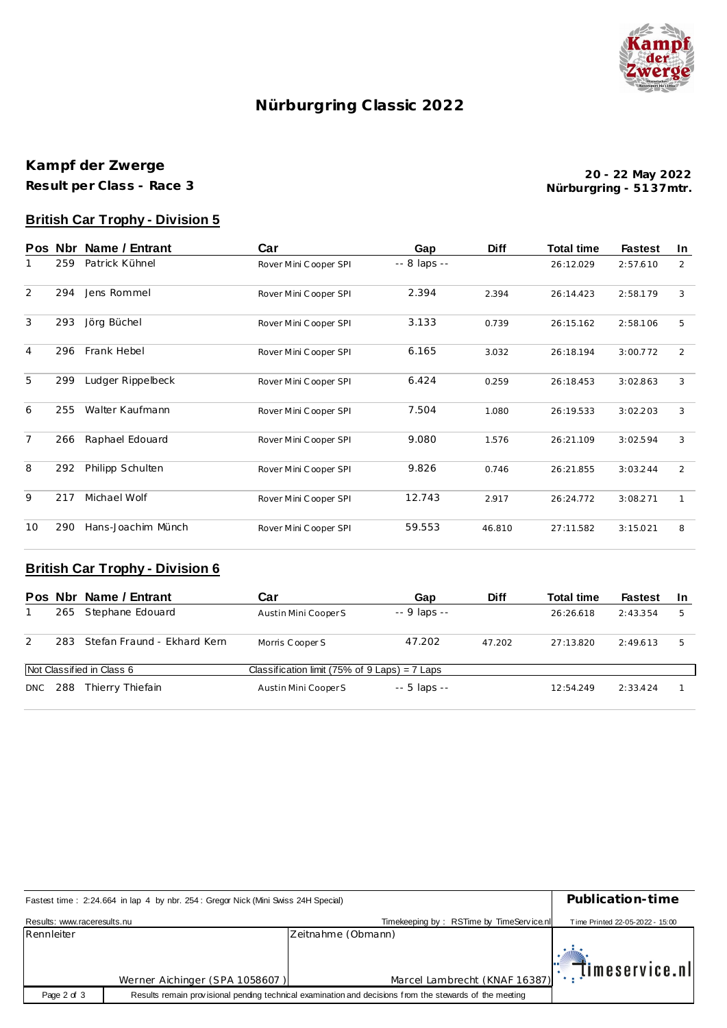

## **Nürburgring C lassic 2022**

### **Kampf der Zwerge Result per Class - Race 3**

**Nürburgring - 51 37mtr. 20 - 22 May 2022**

### **British Car Trophy - Division 5**

| <b>Pos</b>     | <b>Nbr</b> | Name / Entrant     | Car                   | Gap          | <b>Diff</b> | <b>Total time</b> | <b>Fastest</b> | In           |
|----------------|------------|--------------------|-----------------------|--------------|-------------|-------------------|----------------|--------------|
| 1              | 259        | Patrick Kühnel     | Rover Mini Cooper SPI | -- 8 laps -- |             | 26:12.029         | 2:57.610       | 2            |
| 2              | 294        | Jens Rommel        | Rover Mini Cooper SPI | 2.394        | 2.394       | 26:14.423         | 2:58.179       | 3            |
| 3              | 293        | Jörg Büchel        | Rover Mini Cooper SPI | 3.133        | 0.739       | 26:15.162         | 2:58.106       | 5            |
| 4              | 296        | Frank Hebel        | Rover Mini Cooper SPI | 6.165        | 3.032       | 26:18.194         | 3:00.772       | 2            |
| 5              | 299        | Ludger Rippelbeck  | Rover Mini Cooper SPI | 6.424        | 0.259       | 26:18.453         | 3:02.863       | 3            |
| 6              | 255        | Walter Kaufmann    | Rover Mini Cooper SPI | 7.504        | 1.080       | 26:19.533         | 3:02.203       | 3            |
| $\overline{7}$ | 266        | Raphael Edouard    | Rover Mini Cooper SPI | 9.080        | 1.576       | 26:21.109         | 3:02.594       | 3            |
| 8              | 292        | Philipp Schulten   | Rover Mini Cooper SPI | 9.826        | 0.746       | 26:21.855         | 3:03.244       | 2            |
| 9              | 217        | Michael Wolf       | Rover Mini Cooper SPI | 12.743       | 2.917       | 26:24.772         | 3:08.271       | $\mathbf{1}$ |
| 10             | 290        | Hans-Joachim Münch | Rover Mini Cooper SPI | 59.553       | 46.810      | 27:11.582         | 3:15.021       | 8            |

### **British Car Trophy - Division 6**

|                           |      | Pos Nbr Name / Entrant      | Car                                             | Gap           | <b>Diff</b> | <b>Total time</b> | <b>Fastest</b> | -In |
|---------------------------|------|-----------------------------|-------------------------------------------------|---------------|-------------|-------------------|----------------|-----|
|                           |      | 265 Stephane Edouard        | Austin Mini Cooper S                            | $-9$ laps $-$ |             | 26:26.618         | 2:43.354       | 5   |
| 2                         | 283. | Stefan Fraund - Ekhard Kern | Morris Cooper S                                 | 47.202        | 47.202      | 27:13.820         | 2:49.613       | 5   |
| Not Classified in Class 6 |      |                             | Classification limit (75% of $9$ Laps) = 7 Laps |               |             |                   |                |     |
| DNC                       | 288  | Thierry Thiefain            | Austin Mini Cooper S                            | $-5$ laps $-$ |             | 12:54.249         | 2:33.424       |     |

| Fastest time: 2:24.664 in lap 4 by nbr. 254: Gregor Nick (Mini Swiss 24H Special) | Publication-time               |                                                                                                         |                                 |
|-----------------------------------------------------------------------------------|--------------------------------|---------------------------------------------------------------------------------------------------------|---------------------------------|
| Results: www.raceresults.nu                                                       |                                | Timekeeping by: RSTime by TimeService.nl                                                                | Time Printed 22-05-2022 - 15:00 |
| Rennleiter                                                                        |                                | Zeitnahme (Obmann)                                                                                      |                                 |
|                                                                                   | Werner Aichinger (SPA 1058607) | Marcel Lambrecht (KNAF 16387)                                                                           | $\mathbb{T}$ imeservice.nl      |
|                                                                                   |                                |                                                                                                         |                                 |
| Page 2 of 3                                                                       |                                | Results remain provisional pending technical examination and decisions from the stewards of the meeting |                                 |